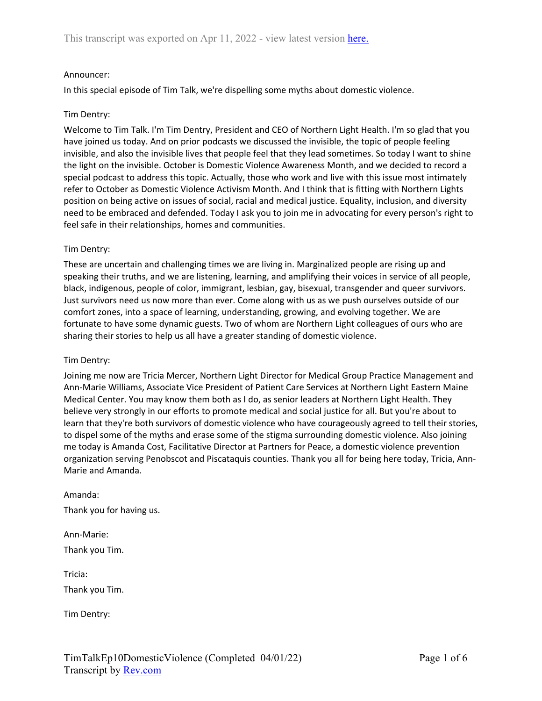### Announcer:

In this special episode of Tim Talk, we're dispelling some myths about domestic violence.

#### Tim Dentry:

Welcome to Tim Talk. I'm Tim Dentry, President and CEO of Northern Light Health. I'm so glad that you have joined us today. And on prior podcasts we discussed the invisible, the topic of people feeling invisible, and also the invisible lives that people feel that they lead sometimes. So today I want to shine the light on the invisible. October is Domestic Violence Awareness Month, and we decided to record a special podcast to address this topic. Actually, those who work and live with this issue most intimately refer to October as Domestic Violence Activism Month. And I think that is fitting with Northern Lights position on being active on issues of social, racial and medical justice. Equality, inclusion, and diversity need to be embraced and defended. Today I ask you to join me in advocating for every person's right to feel safe in their relationships, homes and communities.

#### Tim Dentry:

These are uncertain and challenging times we are living in. Marginalized people are rising up and speaking their truths, and we are listening, learning, and amplifying their voices in service of all people, black, indigenous, people of color, immigrant, lesbian, gay, bisexual, transgender and queer survivors. Just survivors need us now more than ever. Come along with us as we push ourselves outside of our comfort zones, into a space of learning, understanding, growing, and evolving together. We are fortunate to have some dynamic guests. Two of whom are Northern Light colleagues of ours who are sharing their stories to help us all have a greater standing of domestic violence.

#### Tim Dentry:

Joining me now are Tricia Mercer, Northern Light Director for Medical Group Practice Management and Ann-Marie Williams, Associate Vice President of Patient Care Services at Northern Light Eastern Maine Medical Center. You may know them both as I do, as senior leaders at Northern Light Health. They believe very strongly in our efforts to promote medical and social justice for all. But you're about to learn that they're both survivors of domestic violence who have courageously agreed to tell their stories, to dispel some of the myths and erase some of the stigma surrounding domestic violence. Also joining me today is Amanda Cost, Facilitative Director at Partners for Peace, a domestic violence prevention organization serving Penobscot and Piscataquis counties. Thank you all for being here today, Tricia, Ann-Marie and Amanda.

Amanda: Thank you for having us.

Ann-Marie: Thank you Tim.

Tricia: Thank you Tim.

Tim Dentry: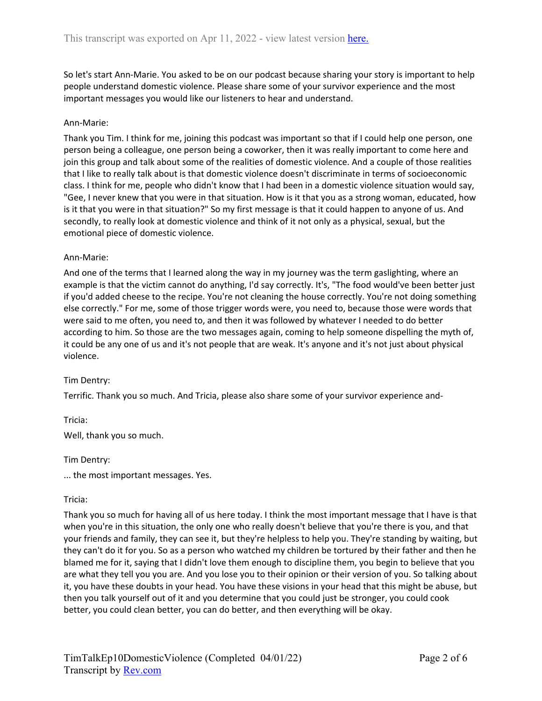So let's start Ann-Marie. You asked to be on our podcast because sharing your story is important to help people understand domestic violence. Please share some of your survivor experience and the most important messages you would like our listeners to hear and understand.

### Ann-Marie:

Thank you Tim. I think for me, joining this podcast was important so that if I could help one person, one person being a colleague, one person being a coworker, then it was really important to come here and join this group and talk about some of the realities of domestic violence. And a couple of those realities that I like to really talk about is that domestic violence doesn't discriminate in terms of socioeconomic class. I think for me, people who didn't know that I had been in a domestic violence situation would say, "Gee, I never knew that you were in that situation. How is it that you as a strong woman, educated, how is it that you were in that situation?" So my first message is that it could happen to anyone of us. And secondly, to really look at domestic violence and think of it not only as a physical, sexual, but the emotional piece of domestic violence.

### Ann-Marie:

And one of the terms that I learned along the way in my journey was the term gaslighting, where an example is that the victim cannot do anything, I'd say correctly. It's, "The food would've been better just if you'd added cheese to the recipe. You're not cleaning the house correctly. You're not doing something else correctly." For me, some of those trigger words were, you need to, because those were words that were said to me often, you need to, and then it was followed by whatever I needed to do better according to him. So those are the two messages again, coming to help someone dispelling the myth of, it could be any one of us and it's not people that are weak. It's anyone and it's not just about physical violence.

# Tim Dentry:

Terrific. Thank you so much. And Tricia, please also share some of your survivor experience and-

Tricia:

Well, thank you so much.

Tim Dentry:

... the most important messages. Yes.

### Tricia:

Thank you so much for having all of us here today. I think the most important message that I have is that when you're in this situation, the only one who really doesn't believe that you're there is you, and that your friends and family, they can see it, but they're helpless to help you. They're standing by waiting, but they can't do it for you. So as a person who watched my children be tortured by their father and then he blamed me for it, saying that I didn't love them enough to discipline them, you begin to believe that you are what they tell you you are. And you lose you to their opinion or their version of you. So talking about it, you have these doubts in your head. You have these visions in your head that this might be abuse, but then you talk yourself out of it and you determine that you could just be stronger, you could cook better, you could clean better, you can do better, and then everything will be okay.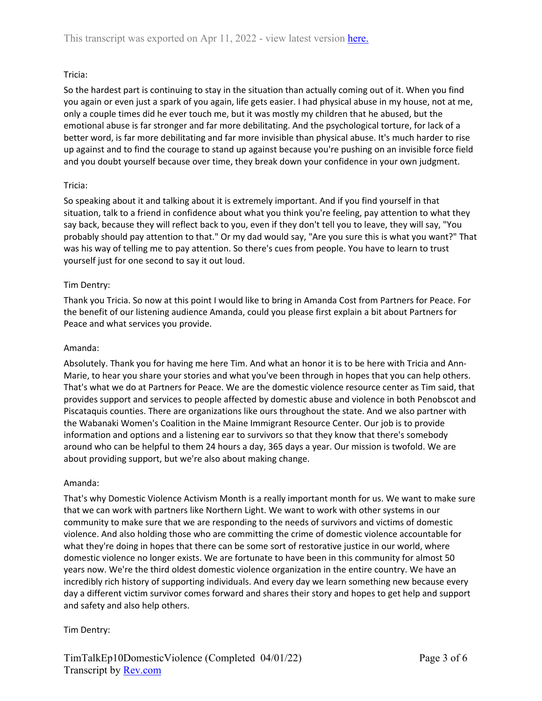# Tricia:

So the hardest part is continuing to stay in the situation than actually coming out of it. When you find you again or even just a spark of you again, life gets easier. I had physical abuse in my house, not at me, only a couple times did he ever touch me, but it was mostly my children that he abused, but the emotional abuse is far stronger and far more debilitating. And the psychological torture, for lack of a better word, is far more debilitating and far more invisible than physical abuse. It's much harder to rise up against and to find the courage to stand up against because you're pushing on an invisible force field and you doubt yourself because over time, they break down your confidence in your own judgment.

# Tricia:

So speaking about it and talking about it is extremely important. And if you find yourself in that situation, talk to a friend in confidence about what you think you're feeling, pay attention to what they say back, because they will reflect back to you, even if they don't tell you to leave, they will say, "You probably should pay attention to that." Or my dad would say, "Are you sure this is what you want?" That was his way of telling me to pay attention. So there's cues from people. You have to learn to trust yourself just for one second to say it out loud.

# Tim Dentry:

Thank you Tricia. So now at this point I would like to bring in Amanda Cost from Partners for Peace. For the benefit of our listening audience Amanda, could you please first explain a bit about Partners for Peace and what services you provide.

# Amanda:

Absolutely. Thank you for having me here Tim. And what an honor it is to be here with Tricia and Ann-Marie, to hear you share your stories and what you've been through in hopes that you can help others. That's what we do at Partners for Peace. We are the domestic violence resource center as Tim said, that provides support and services to people affected by domestic abuse and violence in both Penobscot and Piscataquis counties. There are organizations like ours throughout the state. And we also partner with the Wabanaki Women's Coalition in the Maine Immigrant Resource Center. Our job is to provide information and options and a listening ear to survivors so that they know that there's somebody around who can be helpful to them 24 hours a day, 365 days a year. Our mission is twofold. We are about providing support, but we're also about making change.

### Amanda:

That's why Domestic Violence Activism Month is a really important month for us. We want to make sure that we can work with partners like Northern Light. We want to work with other systems in our community to make sure that we are responding to the needs of survivors and victims of domestic violence. And also holding those who are committing the crime of domestic violence accountable for what they're doing in hopes that there can be some sort of restorative justice in our world, where domestic violence no longer exists. We are fortunate to have been in this community for almost 50 years now. We're the third oldest domestic violence organization in the entire country. We have an incredibly rich history of supporting individuals. And every day we learn something new because every day a different victim survivor comes forward and shares their story and hopes to get help and support and safety and also help others.

# Tim Dentry: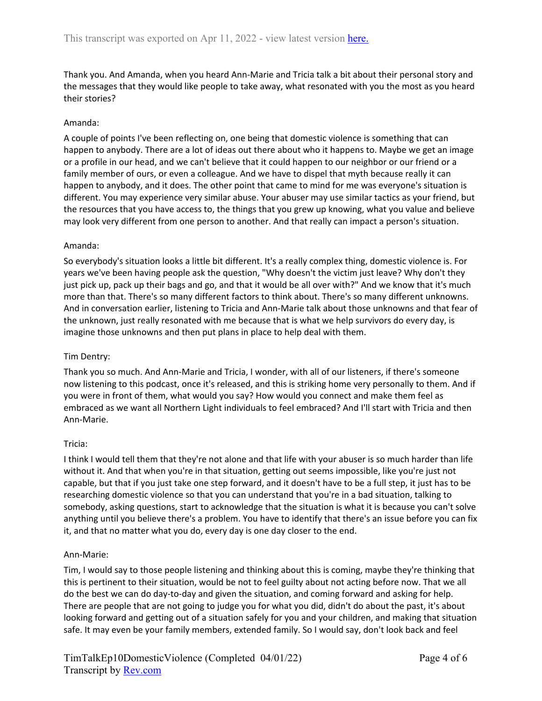Thank you. And Amanda, when you heard Ann-Marie and Tricia talk a bit about their personal story and the messages that they would like people to take away, what resonated with you the most as you heard their stories?

### Amanda:

A couple of points I've been reflecting on, one being that domestic violence is something that can happen to anybody. There are a lot of ideas out there about who it happens to. Maybe we get an image or a profile in our head, and we can't believe that it could happen to our neighbor or our friend or a family member of ours, or even a colleague. And we have to dispel that myth because really it can happen to anybody, and it does. The other point that came to mind for me was everyone's situation is different. You may experience very similar abuse. Your abuser may use similar tactics as your friend, but the resources that you have access to, the things that you grew up knowing, what you value and believe may look very different from one person to another. And that really can impact a person's situation.

### Amanda:

So everybody's situation looks a little bit different. It's a really complex thing, domestic violence is. For years we've been having people ask the question, "Why doesn't the victim just leave? Why don't they just pick up, pack up their bags and go, and that it would be all over with?" And we know that it's much more than that. There's so many different factors to think about. There's so many different unknowns. And in conversation earlier, listening to Tricia and Ann-Marie talk about those unknowns and that fear of the unknown, just really resonated with me because that is what we help survivors do every day, is imagine those unknowns and then put plans in place to help deal with them.

### Tim Dentry:

Thank you so much. And Ann-Marie and Tricia, I wonder, with all of our listeners, if there's someone now listening to this podcast, once it's released, and this is striking home very personally to them. And if you were in front of them, what would you say? How would you connect and make them feel as embraced as we want all Northern Light individuals to feel embraced? And I'll start with Tricia and then Ann-Marie.

### Tricia:

I think I would tell them that they're not alone and that life with your abuser is so much harder than life without it. And that when you're in that situation, getting out seems impossible, like you're just not capable, but that if you just take one step forward, and it doesn't have to be a full step, it just has to be researching domestic violence so that you can understand that you're in a bad situation, talking to somebody, asking questions, start to acknowledge that the situation is what it is because you can't solve anything until you believe there's a problem. You have to identify that there's an issue before you can fix it, and that no matter what you do, every day is one day closer to the end.

### Ann-Marie:

Tim, I would say to those people listening and thinking about this is coming, maybe they're thinking that this is pertinent to their situation, would be not to feel guilty about not acting before now. That we all do the best we can do day-to-day and given the situation, and coming forward and asking for help. There are people that are not going to judge you for what you did, didn't do about the past, it's about looking forward and getting out of a situation safely for you and your children, and making that situation safe. It may even be your family members, extended family. So I would say, don't look back and feel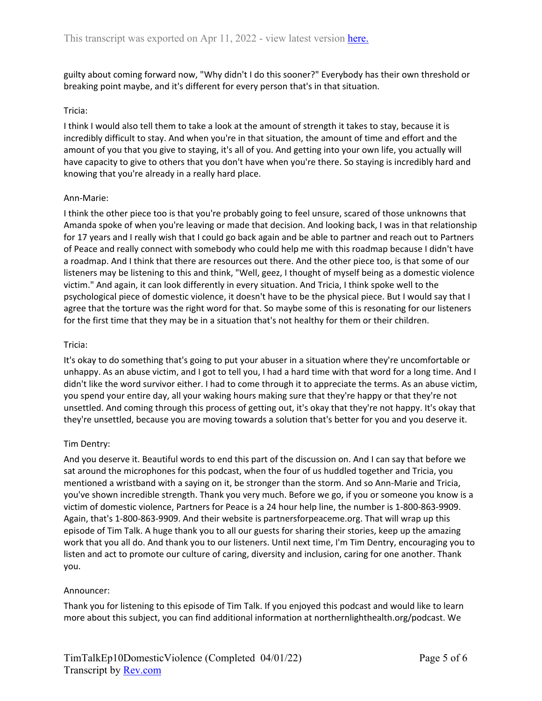guilty about coming forward now, "Why didn't I do this sooner?" Everybody has their own threshold or breaking point maybe, and it's different for every person that's in that situation.

### Tricia:

I think I would also tell them to take a look at the amount of strength it takes to stay, because it is incredibly difficult to stay. And when you're in that situation, the amount of time and effort and the amount of you that you give to staying, it's all of you. And getting into your own life, you actually will have capacity to give to others that you don't have when you're there. So staying is incredibly hard and knowing that you're already in a really hard place.

### Ann-Marie:

I think the other piece too is that you're probably going to feel unsure, scared of those unknowns that Amanda spoke of when you're leaving or made that decision. And looking back, I was in that relationship for 17 years and I really wish that I could go back again and be able to partner and reach out to Partners of Peace and really connect with somebody who could help me with this roadmap because I didn't have a roadmap. And I think that there are resources out there. And the other piece too, is that some of our listeners may be listening to this and think, "Well, geez, I thought of myself being as a domestic violence victim." And again, it can look differently in every situation. And Tricia, I think spoke well to the psychological piece of domestic violence, it doesn't have to be the physical piece. But I would say that I agree that the torture was the right word for that. So maybe some of this is resonating for our listeners for the first time that they may be in a situation that's not healthy for them or their children.

### Tricia:

It's okay to do something that's going to put your abuser in a situation where they're uncomfortable or unhappy. As an abuse victim, and I got to tell you, I had a hard time with that word for a long time. And I didn't like the word survivor either. I had to come through it to appreciate the terms. As an abuse victim, you spend your entire day, all your waking hours making sure that they're happy or that they're not unsettled. And coming through this process of getting out, it's okay that they're not happy. It's okay that they're unsettled, because you are moving towards a solution that's better for you and you deserve it.

# Tim Dentry:

And you deserve it. Beautiful words to end this part of the discussion on. And I can say that before we sat around the microphones for this podcast, when the four of us huddled together and Tricia, you mentioned a wristband with a saying on it, be stronger than the storm. And so Ann-Marie and Tricia, you've shown incredible strength. Thank you very much. Before we go, if you or someone you know is a victim of domestic violence, Partners for Peace is a 24 hour help line, the number is 1-800-863-9909. Again, that's 1-800-863-9909. And their website is partnersforpeaceme.org. That will wrap up this episode of Tim Talk. A huge thank you to all our guests for sharing their stories, keep up the amazing work that you all do. And thank you to our listeners. Until next time, I'm Tim Dentry, encouraging you to listen and act to promote our culture of caring, diversity and inclusion, caring for one another. Thank you.

### Announcer:

Thank you for listening to this episode of Tim Talk. If you enjoyed this podcast and would like to learn more about this subject, you can find additional information at northernlighthealth.org/podcast. We